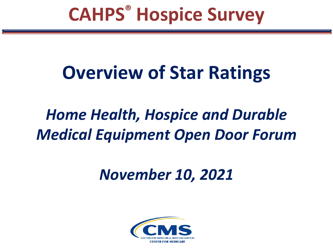## **CAHPS® Hospice Survey**

# **Overview of Star Ratings**

## *Home Health, Hospice and Durable Medical Equipment Open Door Forum*

### *November 10, 2021*

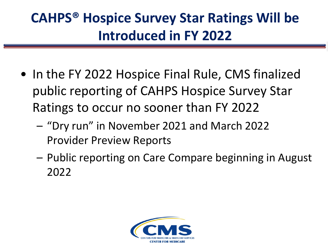#### **CAHPS® Hospice Survey Star Ratings Will be Introduced in FY 2022**

- In the FY 2022 Hospice Final Rule, CMS finalized public reporting of CAHPS Hospice Survey Star Ratings to occur no sooner than FY 2022
	- "Dry run" in November 2021 and March 2022 Provider Preview Reports
	- Public reporting on Care Compare beginning in August 2022

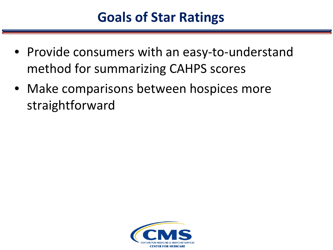- Provide consumers with an easy-to-understand method for summarizing CAHPS scores
- Make comparisons between hospices more straightforward

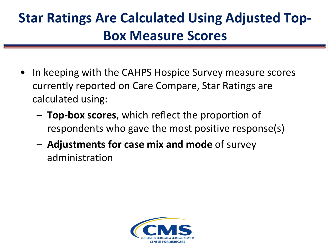#### **Star Ratings Are Calculated Using Adjusted Top-Box Measure Scores**

- In keeping with the CAHPS Hospice Survey measure scores currently reported on Care Compare, Star Ratings are calculated using:
	- **Top-box scores**, which reflect the proportion of respondents who gave the most positive response(s)
	- **Adjustments for case mix and mode** of survey administration

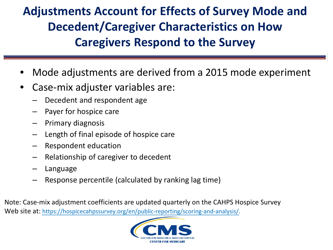**Adjustments Account for Effects of Survey Mode and Decedent/Caregiver Characteristics on How Caregivers Respond to the Survey**

- Mode adjustments are derived from a 2015 mode experiment
- Case-mix adjuster variables are:
	- ‒ Decedent and respondent age
	- Payer for hospice care
	- ‒ Primary diagnosis
	- ‒ Length of final episode of hospice care
	- ‒ Respondent education
	- ‒ Relationship of caregiver to decedent
	- **Language**
	- ‒ Response percentile (calculated by ranking lag time)

Note: Case-mix adjustment coefficients are updated quarterly on the CAHPS Hospice Survey Web site at: <https://hospicecahpssurvey.org/en/public-reporting/scoring-and-analysis/>.

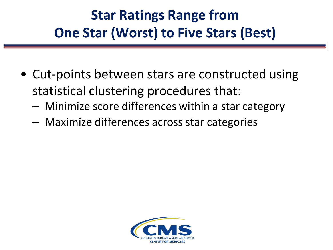#### **Star Ratings Range from One Star (Worst) to Five Stars (Best)**

- Cut-points between stars are constructed using statistical clustering procedures that:
	- ‒ Minimize score differences within a star category
	- ‒ Maximize differences across star categories

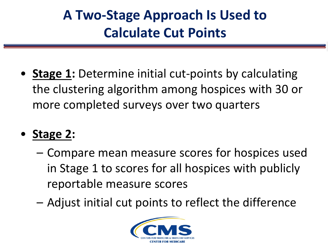#### **A Two-Stage Approach Is Used to Calculate Cut Points**

- **Stage 1:** Determine initial cut-points by calculating the clustering algorithm among hospices with 30 or more completed surveys over two quarters
- **Stage 2:** 
	- Compare mean measure scores for hospices used in Stage 1 to scores for all hospices with publicly reportable measure scores
	- Adjust initial cut points to reflect the difference

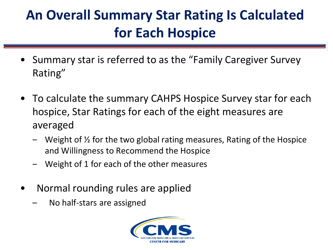#### **An Overall Summary Star Rating Is Calculated for Each Hospice**

- Summary star is referred to as the "Family Caregiver Survey Rating"
- To calculate the summary CAHPS Hospice Survey star for each hospice, Star Ratings for each of the eight measures are averaged
	- $\blacksquare$  Weight of  $\frac{1}{2}$  for the two global rating measures, Rating of the Hospice and Willingness to Recommend the Hospice
	- ‒ Weight of 1 for each of the other measures
- Normal rounding rules are applied
	- No half-stars are assigned

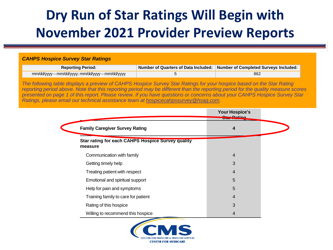#### **Dry Run of Star Ratings Will Begin with November 2021 Provider Preview Reports**

#### *CAHPS Hospice Survey Star Ratings*

| <b>Reporting Period:</b>                         | Number of Quarters of Data Included: Number of Completed Surveys Included: |
|--------------------------------------------------|----------------------------------------------------------------------------|
| mm/dd/yyyy – mm/dd/yyyy; mm/dd/yyyy – mm/dd/yyyy | 862                                                                        |

*The following table displays a preview of CAHPS Hospice Survey Star Ratings for your hospice based on the Star Rating reporting period above. Note that this reporting period may be different than the reporting period for the quality measure scores presented on page 1 of this report. Please review. If you have questions or concerns about your CAHPS Hospice Survey Star Ratings, please email our technical assistance team at hospicecahpssurvey@hsag.com.* 

|                                                                     | Your Hospice's |
|---------------------------------------------------------------------|----------------|
| <b>Family Caregiver Survey Rating</b>                               | 4              |
| <b>Star rating for each CAHPS Hospice Survey quality</b><br>measure |                |
| Communication with family                                           | $\overline{4}$ |
| Getting timely help                                                 | 3              |
| Treating patient with respect                                       | 4              |
| Emotional and spiritual support                                     | 5              |
| Help for pain and symptoms                                          | 5              |
| Training family to care for patient                                 | 4              |
| Rating of this hospice                                              | 3              |
| Willing to recommend this hospice                                   | 4              |

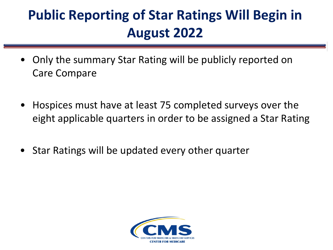#### **Public Reporting of Star Ratings Will Begin in August 2022**

- Only the summary Star Rating will be publicly reported on Care Compare
- Hospices must have at least 75 completed surveys over the eight applicable quarters in order to be assigned a Star Rating
- Star Ratings will be updated every other quarter

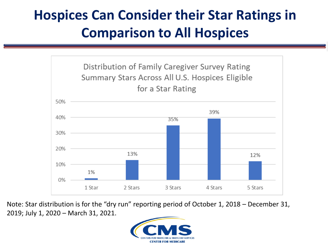#### **Hospices Can Consider their Star Ratings in Comparison to All Hospices**



Note: Star distribution is for the "dry run" reporting period of October 1, 2018 – December 31, 2019; July 1, 2020 – March 31, 2021.